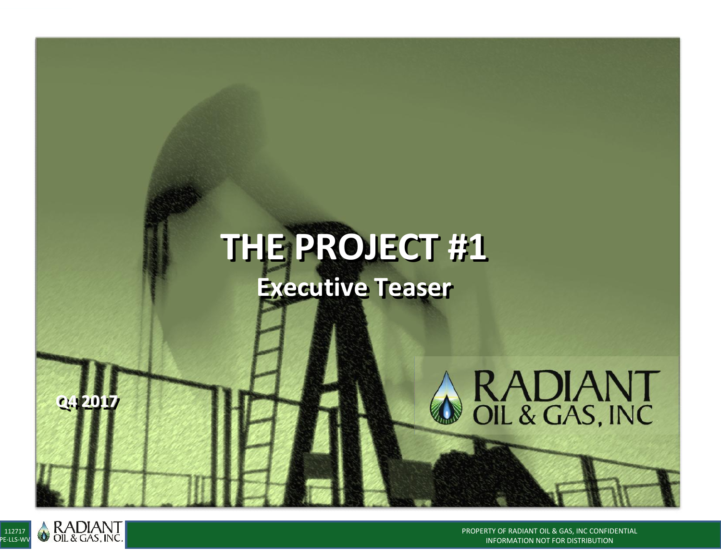# **THE PROJECT #1 Executive Teaser**



**Q4 2017**

PROPERTY OF RADIANT OIL & GAS, INC CONFIDENTIAL INFORMATION NOT FOR DISTRIBUTION

RADIANT<br>OIL & GAS, INC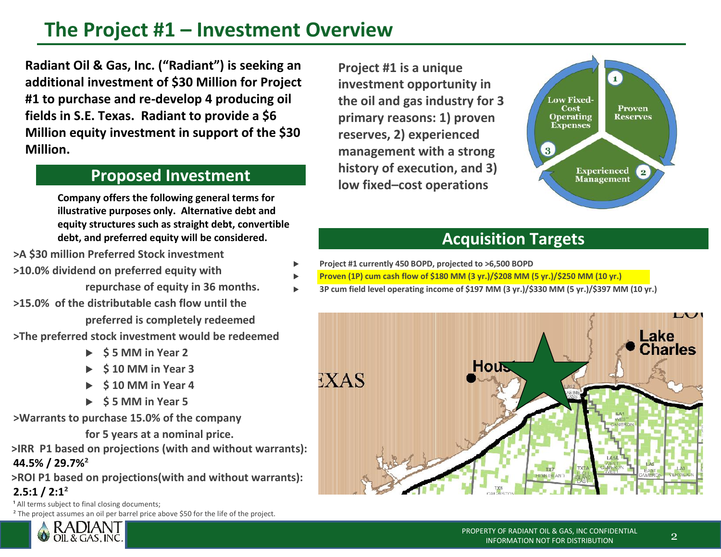## **The Project #1 – Investment Overview**

 **Radiant Oil & Gas, Inc. ("Radiant") is seeking an additional investment of \$30 Million for Project #1 to purchase and re-develop 4 producing oil fields in S.E. Texas. Radiant to provide a \$6 Million equity investment in support of the \$30 Million.**

**Company offers the following general terms for illustrative purposes only. Alternative debt and equity structures such as straight debt, convertible debt, and preferred equity will be considered.**

**>A \$30 million Preferred Stock investment**

- **>10.0% dividend on preferred equity with**
	- **repurchase of equity in 36 months.**
- **>15.0% of the distributable cash flow until the preferred is completely redeemed >The preferred stock investment would be redeemed**
	- **\$ 5 MM in Year 2**
		- **\$ 10 MM in Year 3**
		- **\$ 10 MM in Year 4**
		- **\$ 5 MM in Year 5**

**>Warrants to purchase 15.0% of the company**

**for 5 years at a nominal price.**

**>IRR P1 based on projections (with and without warrants): 44.5% / 29.7%²**

**>ROI P1 based on projections(with and without warrants): 2.5:1 / 2:1²**

<sup>1</sup> All terms subject to final closing documents:

**RADIAN** OIL & GAS, INC

<sup>2</sup> The project assumes an oil per barrel price above \$50 for the life of the project.

 **Project #1 is a unique investment opportunity in the oil and gas industry for 3 primary reasons: 1) proven reserves, 2) experienced management with a strong history of execution, and 3) Proposed Investment low fixed–cost operations** 



## **Acquisition Targets**

- **Project #1 currently 450 BOPD, projected to >6,500 BOPD**
- **Proven (1P) cum cash flow of \$180 MM (3 yr.)/\$208 MM (5 yr.)/\$250 MM (10 yr.)**
- **3P cum field level operating income of \$197 MM (3 yr.)/\$330 MM (5 yr.)/\$397 MM (10 yr.)**

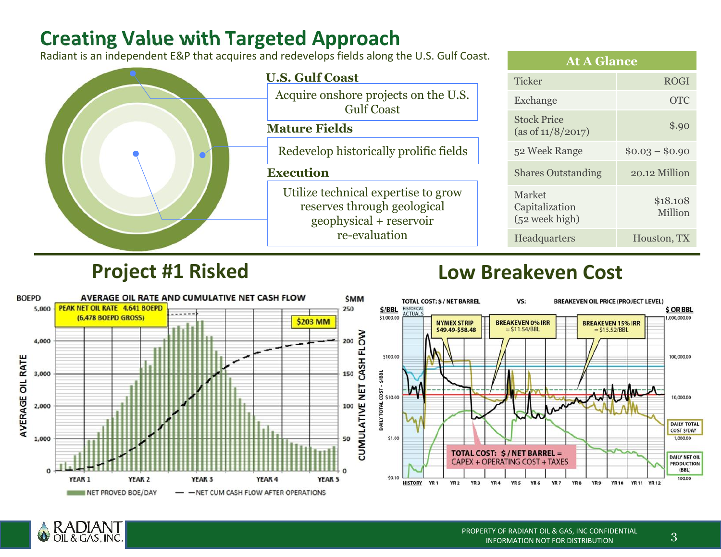## **Creating Value with Targeted Approach**

Radiant is an independent E&P that acquires and redevelops fields along the U.S. Gulf Coast.



## **Project #1 Risked**

## **Low Breakeven Cost**



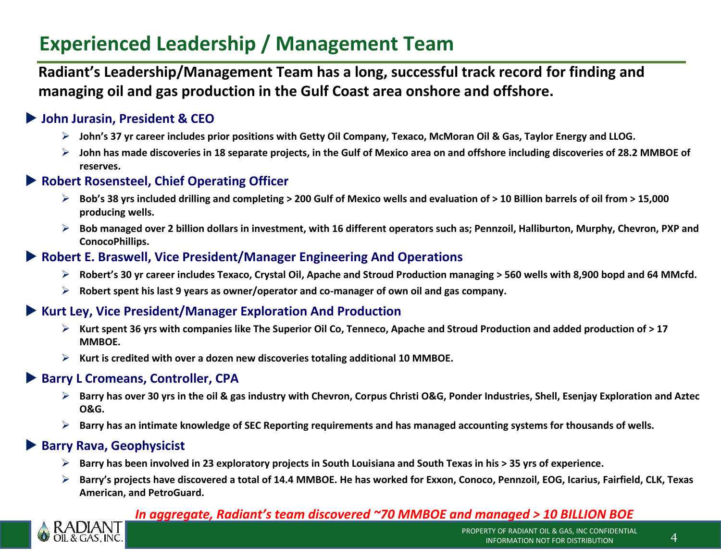## **Experienced Leadership / Management Team**

**Radiant's Leadership/Management Team has a long, successful track record for finding and managing oil and gas production in the Gulf Coast area onshore and offshore.**

#### **John Jurasin, President & CEO**

- **John's 37 yr career includes prior positions with Getty Oil Company, Texaco, McMoran Oil & Gas, Taylor Energy and LLOG.**
- **John has made discoveries in 18 separate projects, in the Gulf of Mexico area on and offshore including discoveries of 28.2 MMBOE of reserves.**

#### **Robert Rosensteel, Chief Operating Officer**

- **Bob's 38 yrs included drilling and completing > 200 Gulf of Mexico wells and evaluation of > 10 Billion barrels of oil from > 15,000 producing wells.**
- **Bob managed over 2 billion dollars in investment, with 16 different operators such as; Pennzoil, Halliburton, Murphy, Chevron, PXP and ConocoPhillips.**

#### **Robert E. Braswell, Vice President/Manager Engineering And Operations**

- **Robert's 30 yr career includes Texaco, Crystal Oil, Apache and Stroud Production managing > 560 wells with 8,900 bopd and 64 MMcfd.**
- **Robert spent his last 9 years as owner/operator and co-manager of own oil and gas company.**

#### **Kurt Ley, Vice President/Manager Exploration And Production**

- **Kurt spent 36 yrs with companies like The Superior Oil Co, Tenneco, Apache and Stroud Production and added production of > 17 MMBOE.**
- **Kurt is credited with over a dozen new discoveries totaling additional 10 MMBOE.**

#### ▶ Barry L Cromeans, Controller, CPA

- **Barry has over 30 yrs in the oil & gas industry with Chevron, Corpus Christi O&G, Ponder Industries, Shell, Esenjay Exploration and Aztec O&G.**
- **Barry has an intimate knowledge of SEC Reporting requirements and has managed accounting systems for thousands of wells.**

#### **Barry Rava, Geophysicist**

- **Barry has been involved in 23 exploratory projects in South Louisiana and South Texas in his > 35 yrs of experience.**
- **Barry's projects have discovered a total of 14.4 MMBOE. He has worked for Exxon, Conoco, Pennzoil, EOG, Icarius, Fairfield, CLK, Texas American, and PetroGuard.**

#### *In aggregate, Radiant's team discovered ~70 MMBOE and managed > 10 BILLION BOE*